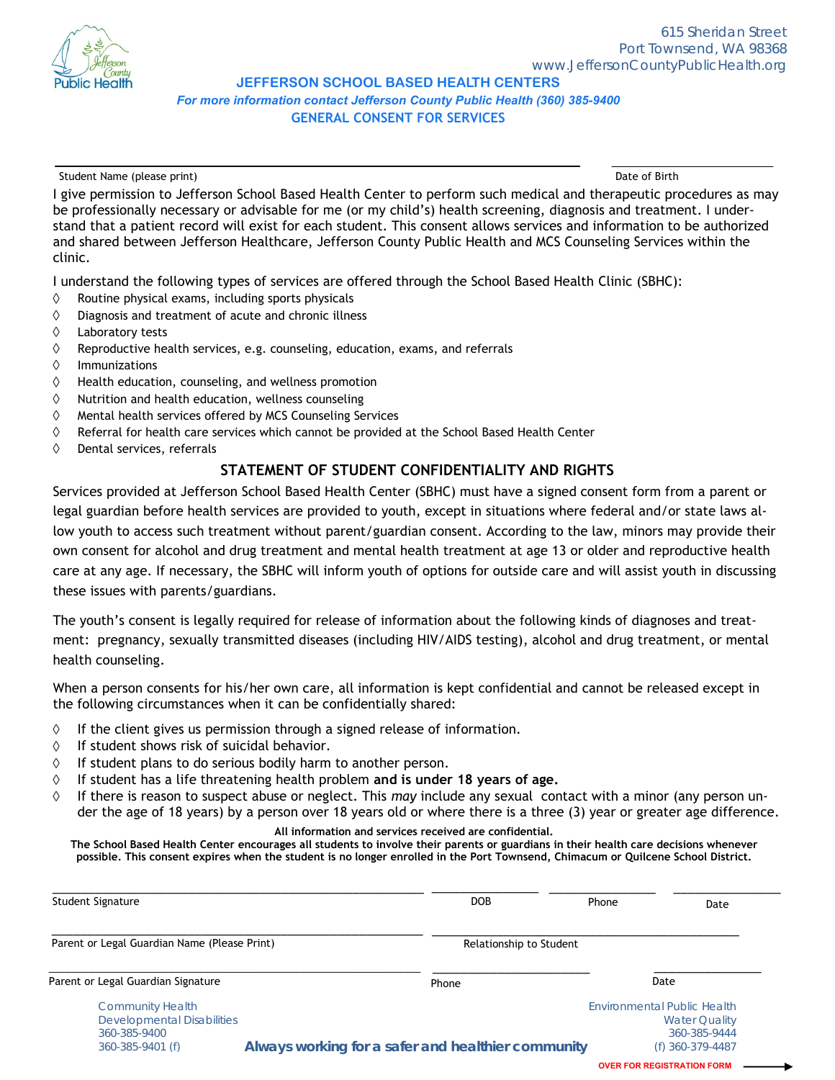

## **JEFFERSON SCHOOL BASED HEALTH CENTERS**  *For more information contact Jefferson County Public Health (360) 385-9400* **GENERAL CONSENT FOR SERVICES**

Student Name (please print) and the student Name (please print) bate of Birth and the student Name (please print)

I give permission to Jefferson School Based Health Center to perform such medical and therapeutic procedures as may be professionally necessary or advisable for me (or my child's) health screening, diagnosis and treatment. I understand that a patient record will exist for each student. This consent allows services and information to be authorized and shared between Jefferson Healthcare, Jefferson County Public Health and MCS Counseling Services within the clinic.

I understand the following types of services are offered through the School Based Health Clinic (SBHC):

- $\Diamond$ Routine physical exams, including sports physicals
- ♦ Diagnosis and treatment of acute and chronic illness
- ♦ Laboratory tests
- ♦ Reproductive health services, e.g. counseling, education, exams, and referrals
- $\Diamond$ Immunizations
- $\Diamond$ Health education, counseling, and wellness promotion
- ♦ Nutrition and health education, wellness counseling
- ♦ Mental health services offered by MCS Counseling Services
- $\Diamond$ Referral for health care services which cannot be provided at the School Based Health Center
- $\Diamond$ Dental services, referrals

## **STATEMENT OF STUDENT CONFIDENTIALITY AND RIGHTS**

Services provided at Jefferson School Based Health Center (SBHC) must have a signed consent form from a parent or legal guardian before health services are provided to youth, except in situations where federal and/or state laws allow youth to access such treatment without parent/guardian consent. According to the law, minors may provide their own consent for alcohol and drug treatment and mental health treatment at age 13 or older and reproductive health care at any age. If necessary, the SBHC will inform youth of options for outside care and will assist youth in discussing these issues with parents/guardians.

The youth's consent is legally required for release of information about the following kinds of diagnoses and treatment: pregnancy, sexually transmitted diseases (including HIV/AIDS testing), alcohol and drug treatment, or mental health counseling.

When a person consents for his/her own care, all information is kept confidential and cannot be released except in the following circumstances when it can be confidentially shared:

- ♦ If the client gives us permission through a signed release of information.
- If student shows risk of suicidal behavior.  $\Diamond$
- $\Diamond$ If student plans to do serious bodily harm to another person.
- If student has a life threatening health problem **and is under 18 years of age.**  $\Diamond$
- $\Diamond$ If there is reason to suspect abuse or neglect. This *may* include any sexual contact with a minor (any person under the age of 18 years) by a person over 18 years old or where there is a three (3) year or greater age difference.

**All information and services received are confidential.** 

**The School Based Health Center encourages all students to involve their parents or guardians in their health care decisions whenever possible. This consent expires when the student is no longer enrolled in the Port Townsend, Chimacum or Quilcene School District.**

| Student Signature                                                                         | DOB                                                                                                            | Phone                   | Date                                 |
|-------------------------------------------------------------------------------------------|----------------------------------------------------------------------------------------------------------------|-------------------------|--------------------------------------|
| Parent or Legal Guardian Name (Please Print)                                              |                                                                                                                | Relationship to Student |                                      |
| Parent or Legal Guardian Signature                                                        | Phone                                                                                                          |                         | Date                                 |
| <b>Community Health</b><br>Developmental Disabilities<br>360-385-9400<br>360-385-9401 (f) | <b>Environmental Public Health</b><br>Always working for a safer and healthier community<br>$(f)$ 360-379-4487 |                         | <b>Water Quality</b><br>360-385-9444 |